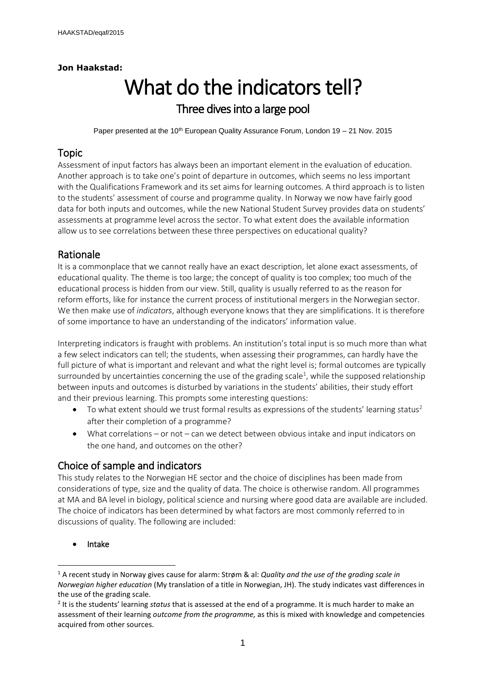### **Jon Haakstad:**

# What do the indicators tell? Three dives into a large pool

Paper presented at the 10<sup>th</sup> European Quality Assurance Forum, London 19 - 21 Nov. 2015

# Topic

Assessment of input factors has always been an important element in the evaluation of education. Another approach is to take one's point of departure in outcomes, which seems no less important with the Qualifications Framework and its set aims for learning outcomes. A third approach is to listen to the students' assessment of course and programme quality. In Norway we now have fairly good data for both inputs and outcomes, while the new National Student Survey provides data on students' assessments at programme level across the sector. To what extent does the available information allow us to see correlations between these three perspectives on educational quality?

# Rationale

It is a commonplace that we cannot really have an exact description, let alone exact assessments, of educational quality. The theme is too large; the concept of quality is too complex; too much of the educational process is hidden from our view. Still, quality is usually referred to as the reason for reform efforts, like for instance the current process of institutional mergers in the Norwegian sector. We then make use of *indicators*, although everyone knows that they are simplifications. It is therefore of some importance to have an understanding of the indicators' information value.

Interpreting indicators is fraught with problems. An institution's total input is so much more than what a few select indicators can tell; the students, when assessing their programmes, can hardly have the full picture of what is important and relevant and what the right level is; formal outcomes are typically surrounded by uncertainties concerning the use of the grading scale<sup>1</sup>, while the supposed relationship between inputs and outcomes is disturbed by variations in the students' abilities, their study effort and their previous learning. This prompts some interesting questions:

- To what extent should we trust formal results as expressions of the students' learning status<sup>2</sup> after their completion of a programme?
- What correlations or not can we detect between obvious intake and input indicators on the one hand, and outcomes on the other?

# Choice of sample and indicators

This study relates to the Norwegian HE sector and the choice of disciplines has been made from considerations of type, size and the quality of data. The choice is otherwise random. All programmes at MA and BA level in biology, political science and nursing where good data are available are included. The choice of indicators has been determined by what factors are most commonly referred to in discussions of quality. The following are included:

Intake

 $\overline{a}$ 

<sup>1</sup> A recent study in Norway gives cause for alarm: Strøm & al: *Quality and the use of the grading scale in Norwegian higher education* (My translation of a title in Norwegian, JH). The study indicates vast differences in the use of the grading scale.

<sup>2</sup> It is the students' learning *status* that is assessed at the end of a programme. It is much harder to make an assessment of their learning *outcome from the programme,* as this is mixed with knowledge and competencies acquired from other sources.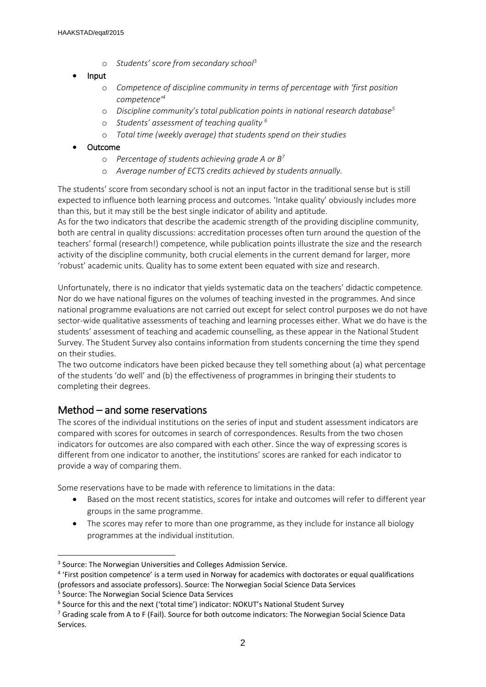o *Students' score from secondary school*<sup>3</sup>

#### Input

- o *Competence of discipline community in terms of percentage with 'first position competence'<sup>4</sup>*
- o *Discipline community's total publication points in national research database<sup>5</sup>*
- o *Students' assessment of teaching quality <sup>6</sup>*
- o *Total time (weekly average) that students spend on their studies*

#### Outcome

- o *Percentage of students achieving grade A or B<sup>7</sup>*
- o *Average number of ECTS credits achieved by students annually.*

The students' score from secondary school is not an input factor in the traditional sense but is still expected to influence both learning process and outcomes. 'Intake quality' obviously includes more than this, but it may still be the best single indicator of ability and aptitude.

As for the two indicators that describe the academic strength of the providing discipline community, both are central in quality discussions: accreditation processes often turn around the question of the teachers' formal (research!) competence, while publication points illustrate the size and the research activity of the discipline community, both crucial elements in the current demand for larger, more 'robust' academic units. Quality has to some extent been equated with size and research.

Unfortunately, there is no indicator that yields systematic data on the teachers' didactic competence. Nor do we have national figures on the volumes of teaching invested in the programmes. And since national programme evaluations are not carried out except for select control purposes we do not have sector-wide qualitative assessments of teaching and learning processes either. What we do have is the students' assessment of teaching and academic counselling, as these appear in the National Student Survey. The Student Survey also contains information from students concerning the time they spend on their studies.

The two outcome indicators have been picked because they tell something about (a) what percentage of the students 'do well' and (b) the effectiveness of programmes in bringing their students to completing their degrees.

# Method – and some reservations

The scores of the individual institutions on the series of input and student assessment indicators are compared with scores for outcomes in search of correspondences. Results from the two chosen indicators for outcomes are also compared with each other. Since the way of expressing scores is different from one indicator to another, the institutions' scores are ranked for each indicator to provide a way of comparing them.

Some reservations have to be made with reference to limitations in the data:

- Based on the most recent statistics, scores for intake and outcomes will refer to different year groups in the same programme.
- The scores may refer to more than one programme, as they include for instance all biology programmes at the individual institution.

-

<sup>&</sup>lt;sup>3</sup> Source: The Norwegian Universities and Colleges Admission Service.

<sup>&</sup>lt;sup>4</sup> 'First position competence' is a term used in Norway for academics with doctorates or equal qualifications (professors and associate professors). Source: The Norwegian Social Science Data Services

<sup>5</sup> Source: The Norwegian Social Science Data Services

<sup>&</sup>lt;sup>6</sup> Source for this and the next ('total time') indicator: NOKUT's National Student Survey

<sup>&</sup>lt;sup>7</sup> Grading scale from A to F (Fail). Source for both outcome indicators: The Norwegian Social Science Data Services.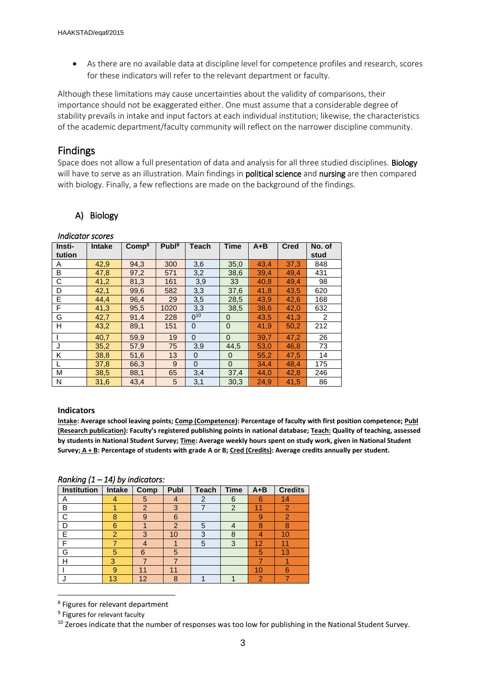As there are no available data at discipline level for competence profiles and research, scores for these indicators will refer to the relevant department or faculty.

Although these limitations may cause uncertainties about the validity of comparisons, their importance should not be exaggerated either. One must assume that a considerable degree of stability prevails in intake and input factors at each individual institution; likewise, the characteristics of the academic department/faculty community will reflect on the narrower discipline community.

# Findings

Space does not allow a full presentation of data and analysis for all three studied disciplines. Biology will have to serve as an illustration. Main findings in **political science** and **nursing** are then compared with biology. Finally, a few reflections are made on the background of the findings.

## A) Biology

| Insti- | <b>Intake</b> | Comp <sup>8</sup> | Publ <sup>9</sup> | Teach       | <b>Time</b>    | $A + B$ | <b>Cred</b> | No. of         |
|--------|---------------|-------------------|-------------------|-------------|----------------|---------|-------------|----------------|
| tution |               |                   |                   |             |                |         |             | stud           |
| A      | 42,9          | 94,3              | 300               | 3,6         | 35,0           | 43.4    | 37,3        | 848            |
| B      | 47,8          | 97,2              | 571               | 3,2         | 38,6           | 39,4    | 49.4        | 431            |
| C      | 41,2          | 81,3              | 161               | 3,9         | 33             | 40.8    | 49.4        | 98             |
| D      | 42,1          | 99,6              | 582               | 3,3         | 37,6           | 41,8    | 43,5        | 620            |
| E      | 44,4          | 96,4              | 29                | 3,5         | 28,5           | 43.9    | 42,6        | 168            |
| F      | 41,3          | 95,5              | 1020              | 3,3         | 38,5           | 38,6    | 42,0        | 632            |
| G      | 42,7          | 91.4              | 228               | $0^{10}$    | $\Omega$       | 43.5    | 41,3        | $\overline{2}$ |
| н      | 43,2          | 89,1              | 151               | $\mathbf 0$ | $\overline{0}$ | 41,9    | 50,2        | 212            |
|        | 40,7          | 59,9              | 19                | $\mathbf 0$ | $\Omega$       | 39,7    | 47,2        | 26             |
| J      | 35,2          | 57,9              | 75                | 3,9         | 44.5           | 53,0    | 46,8        | 73             |
| K      | 38,8          | 51,6              | 13                | $\Omega$    | $\Omega$       | 55,2    | 47,5        | 14             |
|        | 37,8          | 66,3              | 9                 | $\Omega$    | $\Omega$       | 34,4    | 48.4        | 175            |
| М      | 38,5          | 88,1              | 65                | 3,4         | 37,4           | 44,0    | 42,8        | 246            |
| N      | 31,6          | 43.4              | 5                 | 3,1         | 30.3           | 24.9    | 41.5        | 86             |

#### *Indicator scores*

#### **Indicators**

**Intake: Average school leaving points; Comp (Competence): Percentage of faculty with first position competence; Publ (Research publication): Faculty's registered publishing points in national database; Teach: Quality of teaching, assessed by students in National Student Survey; Time: Average weekly hours spent on study work, given in National Student Survey; A + B: Percentage of students with grade A or B; Cred (Credits): Average credits annually per student.**

*Ranking (1 – 14) by indicators:* 

| Institution | <b>Intake</b> | Comp           | Publ           | <b>Teach</b>   | <b>Time</b>    | $A + B$ | <b>Credits</b> |
|-------------|---------------|----------------|----------------|----------------|----------------|---------|----------------|
| Α           |               | 5              |                | $\overline{2}$ | 6              | 6       | 14             |
| B           |               | $\overline{2}$ | 3              |                | $\overline{2}$ | 11      | $\overline{2}$ |
| C           | 8             | 9              | 6              |                |                | 9       | v.             |
| D           | 6             |                | $\overline{2}$ | 5              |                | 8       | 8              |
| E           | 2             | 3              | 10             | 3              | 8              | 4       | 10             |
| F           |               | 4              |                | 5              | 3              | 12      | 11             |
| G           | 5             | 6              | 5              |                |                | 5       | 13             |
| Н           | 3             |                |                |                |                |         |                |
|             | 9             | 11             | 11             |                |                | 10      | 6              |
|             | 13            | 12             | 8              |                |                | 2       |                |

<sup>8</sup> Figures for relevant department

1

<sup>10</sup> Zeroes indicate that the number of responses was too low for publishing in the National Student Survey.

<sup>&</sup>lt;sup>9</sup> Figures for relevant faculty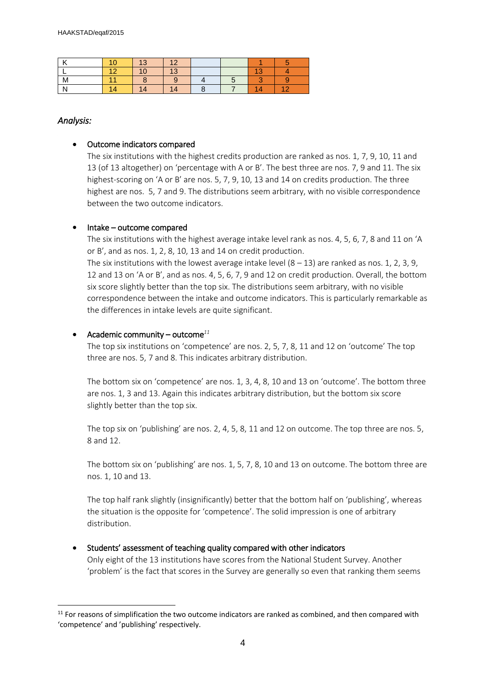| $\mathbf{z}$ | 13 | 12 |  |     |                |
|--------------|----|----|--|-----|----------------|
|              | 10 | 13 |  |     |                |
| M            |    |    |  |     |                |
| N            | 14 | 14 |  | ৰ⊿. | 4 <sup>2</sup> |

#### *Analysis:*

-

#### Outcome indicators compared

The six institutions with the highest credits production are ranked as nos. 1, 7, 9, 10, 11 and 13 (of 13 altogether) on 'percentage with A or B'. The best three are nos. 7, 9 and 11. The six highest-scoring on 'A or B' are nos. 5, 7, 9, 10, 13 and 14 on credits production. The three highest are nos. 5, 7 and 9. The distributions seem arbitrary, with no visible correspondence between the two outcome indicators.

#### • Intake – outcome compared

The six institutions with the highest average intake level rank as nos. 4, 5, 6, 7, 8 and 11 on 'A or B', and as nos. 1, 2, 8, 10, 13 and 14 on credit production.

The six institutions with the lowest average intake level  $(8 - 13)$  are ranked as nos. 1, 2, 3, 9, 12 and 13 on 'A or B', and as nos. 4, 5, 6, 7, 9 and 12 on credit production. Overall, the bottom six score slightly better than the top six. The distributions seem arbitrary, with no visible correspondence between the intake and outcome indicators. This is particularly remarkable as the differences in intake levels are quite significant.

#### Academic community – outcome*<sup>11</sup>*

The top six institutions on 'competence' are nos. 2, 5, 7, 8, 11 and 12 on 'outcome' The top three are nos. 5, 7 and 8. This indicates arbitrary distribution.

The bottom six on 'competence' are nos. 1, 3, 4, 8, 10 and 13 on 'outcome'. The bottom three are nos. 1, 3 and 13. Again this indicates arbitrary distribution, but the bottom six score slightly better than the top six.

The top six on 'publishing' are nos. 2, 4, 5, 8, 11 and 12 on outcome. The top three are nos. 5, 8 and 12.

The bottom six on 'publishing' are nos. 1, 5, 7, 8, 10 and 13 on outcome. The bottom three are nos. 1, 10 and 13.

The top half rank slightly (insignificantly) better that the bottom half on 'publishing', whereas the situation is the opposite for 'competence'. The solid impression is one of arbitrary distribution.

#### • Students' assessment of teaching quality compared with other indicators

Only eight of the 13 institutions have scores from the National Student Survey. Another 'problem' is the fact that scores in the Survey are generally so even that ranking them seems

 $11$  For reasons of simplification the two outcome indicators are ranked as combined, and then compared with 'competence' and 'publishing' respectively.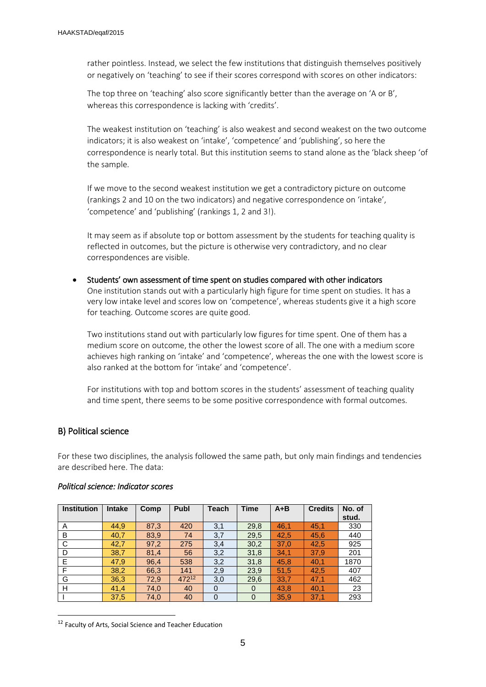rather pointless. Instead, we select the few institutions that distinguish themselves positively or negatively on 'teaching' to see if their scores correspond with scores on other indicators:

The top three on 'teaching' also score significantly better than the average on 'A or B', whereas this correspondence is lacking with 'credits'.

The weakest institution on 'teaching' is also weakest and second weakest on the two outcome indicators; it is also weakest on 'intake', 'competence' and 'publishing', so here the correspondence is nearly total. But this institution seems to stand alone as the 'black sheep 'of the sample.

If we move to the second weakest institution we get a contradictory picture on outcome (rankings 2 and 10 on the two indicators) and negative correspondence on 'intake', 'competence' and 'publishing' (rankings 1, 2 and 3!).

It may seem as if absolute top or bottom assessment by the students for teaching quality is reflected in outcomes, but the picture is otherwise very contradictory, and no clear correspondences are visible.

 Students' own assessment of time spent on studies compared with other indicators One institution stands out with a particularly high figure for time spent on studies. It has a very low intake level and scores low on 'competence', whereas students give it a high score for teaching. Outcome scores are quite good.

Two institutions stand out with particularly low figures for time spent. One of them has a medium score on outcome, the other the lowest score of all. The one with a medium score achieves high ranking on 'intake' and 'competence', whereas the one with the lowest score is also ranked at the bottom for 'intake' and 'competence'.

For institutions with top and bottom scores in the students' assessment of teaching quality and time spent, there seems to be some positive correspondence with formal outcomes.

#### B) Political science

1

For these two disciplines, the analysis followed the same path, but only main findings and tendencies are described here. The data:

| <b>Institution</b> | <b>Intake</b> | Comp | <b>Publ</b> | <b>Teach</b> | <b>Time</b> | $A + B$ | <b>Credits</b> | No. of |
|--------------------|---------------|------|-------------|--------------|-------------|---------|----------------|--------|
|                    |               |      |             |              |             |         |                | stud.  |
| A                  | 44,9          | 87,3 | 420         | 3,1          | 29,8        | 46,1    | 45,1           | 330    |
| B                  | 40,7          | 83,9 | 74          | 3,7          | 29,5        | 42,5    | 45,6           | 440    |
| C                  | 42,7          | 97,2 | 275         | 3,4          | 30,2        | 37,0    | 42,5           | 925    |
| D                  | 38,7          | 81,4 | 56          | 3,2          | 31,8        | 34,1    | 37,9           | 201    |
| E                  | 47,9          | 96,4 | 538         | 3,2          | 31,8        | 45,8    | 40,1           | 1870   |
| F                  | 38,2          | 66,3 | 141         | 2,9          | 23,9        | 51,5    | 42,5           | 407    |
| G                  | 36,3          | 72,9 | 47212       | 3,0          | 29,6        | 33,7    | 47,1           | 462    |
| H                  | 41,4          | 74,0 | 40          | $\mathbf 0$  | $\mathbf 0$ | 43,8    | 40,1           | 23     |
|                    | 37,5          | 74,0 | 40          | $\Omega$     | $\Omega$    | 35,9    | 37,1           | 293    |

#### *Political science: Indicator scores*

<sup>12</sup> Faculty of Arts, Social Science and Teacher Education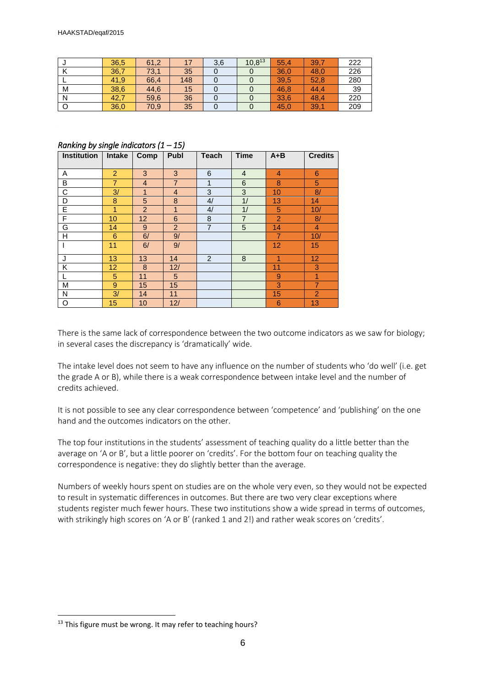|   | 36,5 | 61,2 |     | 3,6 | $10,8^{13}$ | 55,4 | 39,7 | 222 |
|---|------|------|-----|-----|-------------|------|------|-----|
|   | 36,7 | 73,1 | 35  |     |             | 36,0 | 48,0 | 226 |
|   | 41,9 | 66,4 | 148 |     |             | 39,5 | 52,8 | 280 |
| M | 38,6 | 44,6 | 15  |     |             | 46,8 | 44.4 | 39  |
| N | 42,7 | 59,6 | 36  |     |             | 33,6 | 48,4 | 220 |
|   | 36,0 | 70,9 | 35  |     |             | 45,0 | 39,1 | 209 |

#### *Ranking by single indicators (1 – 15)*

| <b>Institution</b> | <b>Intake</b>  | Comp           | Publ           | <b>Teach</b>   | <b>Time</b>    | $A + B$        | <b>Credits</b> |
|--------------------|----------------|----------------|----------------|----------------|----------------|----------------|----------------|
|                    |                |                |                |                |                |                |                |
| A                  | $\overline{2}$ | 3              | 3              | 6              | $\overline{4}$ | $\overline{4}$ | 6              |
| B                  | 7              | $\overline{4}$ | $\overline{7}$ | 1              | 6              | 8              | 5              |
| C                  | 3/             | 1              | $\overline{4}$ | 3              | 3              | 10             | 8/             |
| D                  | 8              | 5              | 8              | 4/             | 1/             | 13             | 14             |
| E                  | 1              | 2              | 1              | 4/             | 1/             | 5              | 10/            |
| F                  | 10             | 12             | 6              | 8              | $\overline{7}$ | $\overline{2}$ | 8/             |
| G                  | 14             | 9              | 2              | $\overline{7}$ | 5              | 14             | $\overline{4}$ |
| Η                  | 6              | 6/             | 9/             |                |                | 7              | 10/            |
|                    | 11             | 6/             | 9/             |                |                | 12             | 15             |
| J                  | 13             | 13             | 14             | 2              | 8              | 1              | 12             |
| Κ                  | 12             | 8              | 12/            |                |                | 11             | 3              |
|                    | 5              | 11             | 5              |                |                | 9              | 1              |
| M                  | 9              | 15             | 15             |                |                | 3              | $\overline{7}$ |
| N                  | 3/             | 14             | 11             |                |                | 15             | $\overline{2}$ |
| O                  | 15             | 10             | 12/            |                |                | 6              | 13             |

There is the same lack of correspondence between the two outcome indicators as we saw for biology; in several cases the discrepancy is 'dramatically' wide.

The intake level does not seem to have any influence on the number of students who 'do well' (i.e. get the grade A or B), while there is a weak correspondence between intake level and the number of credits achieved.

It is not possible to see any clear correspondence between 'competence' and 'publishing' on the one hand and the outcomes indicators on the other.

The top four institutions in the students' assessment of teaching quality do a little better than the average on 'A or B', but a little poorer on 'credits'. For the bottom four on teaching quality the correspondence is negative: they do slightly better than the average.

Numbers of weekly hours spent on studies are on the whole very even, so they would not be expected to result in systematic differences in outcomes. But there are two very clear exceptions where students register much fewer hours. These two institutions show a wide spread in terms of outcomes, with strikingly high scores on 'A or B' (ranked 1 and 2!) and rather weak scores on 'credits'.

1

<sup>&</sup>lt;sup>13</sup> This figure must be wrong. It may refer to teaching hours?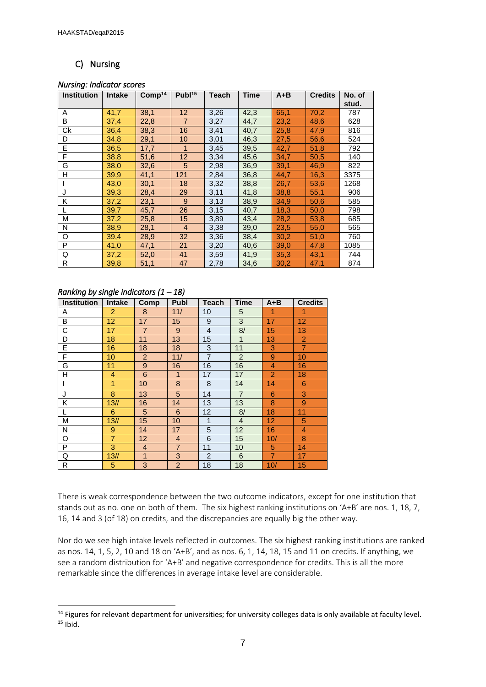## C) Nursing

#### *Nursing: Indicator scores*

| <b>Institution</b> | <b>Intake</b> | Comp <sup>14</sup> | Publ <sup>15</sup> | <b>Teach</b> | <b>Time</b> | $A + B$ | <b>Credits</b> | No. of<br>stud. |
|--------------------|---------------|--------------------|--------------------|--------------|-------------|---------|----------------|-----------------|
| A                  | 41,7          | 38,1               | 12 <sup>2</sup>    | 3,26         | 42,3        | 65,1    | 70,2           | 787             |
| B                  | 37,4          | 22,8               | $\overline{7}$     | 3,27         | 44,7        | 23,2    | 48,6           | 628             |
| Ck                 | 36,4          | 38,3               | 16                 | 3,41         | 40,7        | 25,8    | 47,9           | 816             |
| D                  | 34,8          | 29,1               | 10                 | 3,01         | 46,3        | 27,5    | 56,6           | 524             |
| E                  | 36,5          | 17,7               | $\mathbf{1}$       | 3,45         | 39,5        | 42,7    | 51,8           | 792             |
| F                  | 38,8          | 51,6               | 12                 | 3,34         | 45,6        | 34,7    | 50,5           | 140             |
| G                  | 38,0          | 32,6               | 5                  | 2,98         | 36,9        | 39,1    | 46,9           | 822             |
| H                  | 39,9          | 41,1               | 121                | 2,84         | 36,8        | 44,7    | 16,3           | 3375            |
|                    | 43,0          | 30,1               | 18                 | 3,32         | 38,8        | 26,7    | 53,6           | 1268            |
| J                  | 39,3          | 28,4               | 29                 | 3,11         | 41,8        | 38,8    | 55,1           | 906             |
| K                  | 37,2          | 23,1               | 9                  | 3,13         | 38,9        | 34,9    | 50,6           | 585             |
|                    | 39,7          | 45,7               | 26                 | 3,15         | 40,7        | 18,3    | 50,0           | 798             |
| M                  | 37,2          | 25,8               | 15                 | 3,89         | 43,4        | 28,2    | 53,8           | 685             |
| N                  | 38,9          | 28,1               | $\overline{4}$     | 3,38         | 39,0        | 23,5    | 55,0           | 565             |
| O                  | 39,4          | 28,9               | 32                 | 3,36         | 38,4        | 30,2    | 51,0           | 760             |
| P                  | 41,0          | 47,1               | 21                 | 3,20         | 40,6        | 39,0    | 47,8           | 1085            |
| Q                  | 37,2          | 52,0               | 41                 | 3,59         | 41,9        | 35,3    | 43,1           | 744             |
| R                  | 39,8          | 51,1               | 47                 | 2,78         | 34,6        | 30,2    | 47,1           | 874             |

#### *Ranking by single indicators (1 – 18)*

-

| <b>Institution</b> | <b>Intake</b>     | Comp           | Publ           | Teach          | <b>Time</b>    | A+B            | <b>Credits</b>  |
|--------------------|-------------------|----------------|----------------|----------------|----------------|----------------|-----------------|
| Α                  | $\overline{2}$    | 8              | 11/            | 10             | 5              | 1              | 1               |
| B                  | $12 \overline{ }$ | 17             | 15             | 9              | 3              | 17             | 12              |
| C                  | 17                | $\overline{7}$ | 9              | $\overline{4}$ | 8/             | 15             | 13              |
| D                  | 18                | 11             | 13             | 15             | 1              | 13             | $\overline{2}$  |
| E                  | 16                | 18             | 18             | 3              | 11             | 3              | $\overline{7}$  |
| F                  | 10                | $\overline{2}$ | 11/            | $\overline{7}$ | $\overline{2}$ | 9              | 10              |
| G                  | 11                | $9\,$          | 16             | 16             | 16             | 4              | 16              |
| Н                  | $\overline{4}$    | 6              | 1              | 17             | 17             | $\overline{2}$ | 18              |
|                    | 1                 | 10             | 8              | 8              | 14             | 14             | $6\phantom{1}6$ |
| J                  | 8                 | 13             | 5              | 14             | $\overline{7}$ | 6              | 3               |
| Κ                  | 13/1              | 16             | 14             | 13             | 13             | 8              | 9               |
|                    | 6                 | 5              | 6              | 12             | 8/             | 18             | 11              |
| М                  | 13/               | 15             | 10             | $\mathbf{1}$   | $\overline{4}$ | 12             | 5               |
| N                  | $9\,$             | 14             | 17             | 5              | 12             | 16             | 4               |
| O                  | $\overline{7}$    | 12             | $\overline{4}$ | 6              | 15             | 10/            | 8               |
| P                  | 3                 | $\overline{4}$ | $\overline{7}$ | 11             | 10             | 5              | 14              |
| Q                  | 13/1              | 1              | 3              | $\overline{2}$ | 6              | $\overline{7}$ | 17              |
| R                  | 5                 | 3              | $\overline{2}$ | 18             | 18             | 10/            | 15              |

There is weak correspondence between the two outcome indicators, except for one institution that stands out as no. one on both of them. The six highest ranking institutions on 'A+B' are nos. 1, 18, 7, 16, 14 and 3 (of 18) on credits, and the discrepancies are equally big the other way.

Nor do we see high intake levels reflected in outcomes. The six highest ranking institutions are ranked as nos. 14, 1, 5, 2, 10 and 18 on 'A+B', and as nos. 6, 1, 14, 18, 15 and 11 on credits. If anything, we see a random distribution for 'A+B' and negative correspondence for credits. This is all the more remarkable since the differences in average intake level are considerable.

<sup>&</sup>lt;sup>14</sup> Figures for relevant department for universities; for university colleges data is only available at faculty level.  $15$  Ibid.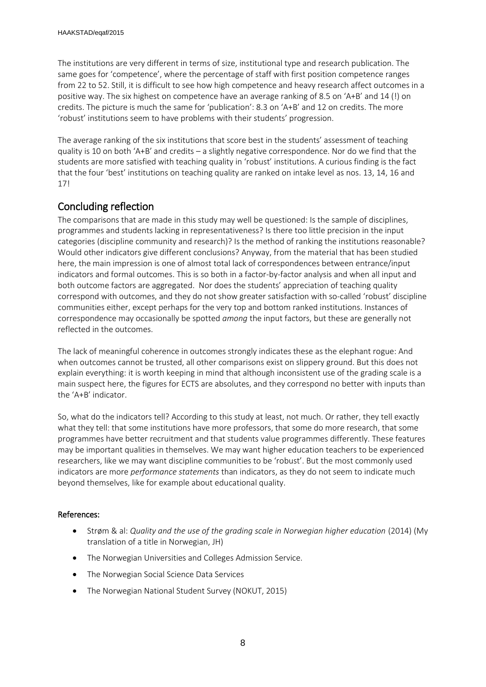The institutions are very different in terms of size, institutional type and research publication. The same goes for 'competence', where the percentage of staff with first position competence ranges from 22 to 52. Still, it is difficult to see how high competence and heavy research affect outcomes in a positive way. The six highest on competence have an average ranking of 8.5 on 'A+B' and 14 (!) on credits. The picture is much the same for 'publication': 8.3 on 'A+B' and 12 on credits. The more 'robust' institutions seem to have problems with their students' progression.

The average ranking of the six institutions that score best in the students' assessment of teaching quality is 10 on both 'A+B' and credits – a slightly negative correspondence. Nor do we find that the students are more satisfied with teaching quality in 'robust' institutions. A curious finding is the fact that the four 'best' institutions on teaching quality are ranked on intake level as nos. 13, 14, 16 and 17!

# Concluding reflection

The comparisons that are made in this study may well be questioned: Is the sample of disciplines, programmes and students lacking in representativeness? Is there too little precision in the input categories (discipline community and research)? Is the method of ranking the institutions reasonable? Would other indicators give different conclusions? Anyway, from the material that has been studied here, the main impression is one of almost total lack of correspondences between entrance/input indicators and formal outcomes. This is so both in a factor-by-factor analysis and when all input and both outcome factors are aggregated. Nor does the students' appreciation of teaching quality correspond with outcomes, and they do not show greater satisfaction with so-called 'robust' discipline communities either, except perhaps for the very top and bottom ranked institutions. Instances of correspondence may occasionally be spotted *among* the input factors, but these are generally not reflected in the outcomes.

The lack of meaningful coherence in outcomes strongly indicates these as the elephant rogue: And when outcomes cannot be trusted, all other comparisons exist on slippery ground. But this does not explain everything: it is worth keeping in mind that although inconsistent use of the grading scale is a main suspect here, the figures for ECTS are absolutes, and they correspond no better with inputs than the 'A+B' indicator.

So, what do the indicators tell? According to this study at least, not much. Or rather, they tell exactly what they tell: that some institutions have more professors, that some do more research, that some programmes have better recruitment and that students value programmes differently. These features may be important qualities in themselves. We may want higher education teachers to be experienced researchers, like we may want discipline communities to be 'robust'. But the most commonly used indicators are more *performance statements* than indicators, as they do not seem to indicate much beyond themselves, like for example about educational quality.

## References:

- Strøm & al: *Quality and the use of the grading scale in Norwegian higher education* (2014) (My translation of a title in Norwegian, JH)
- The Norwegian Universities and Colleges Admission Service.
- The Norwegian Social Science Data Services
- The Norwegian National Student Survey (NOKUT, 2015)